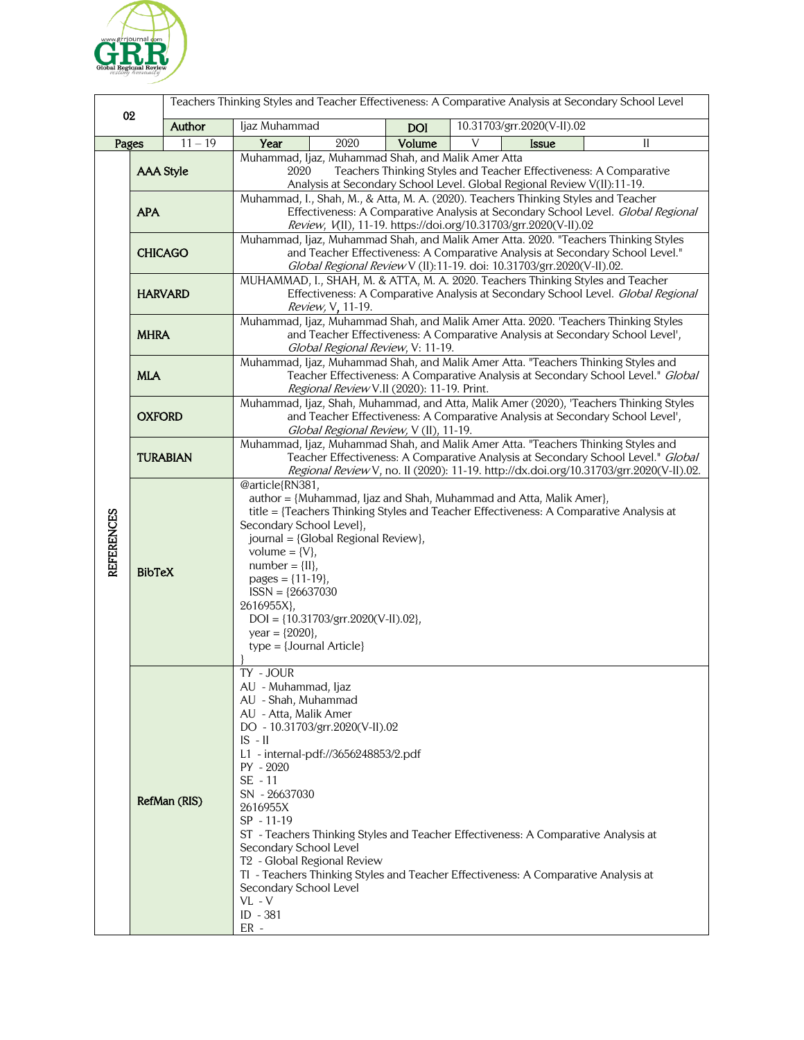

| 02         |                                                                                                                                                                                                                                                                                                                                                                                                |           | Teachers Thinking Styles and Teacher Effectiveness: A Comparative Analysis at Secondary School Level                                                                                                                                                                                       |                                                                                                                                                                          |                                                                                                                                                              |
|------------|------------------------------------------------------------------------------------------------------------------------------------------------------------------------------------------------------------------------------------------------------------------------------------------------------------------------------------------------------------------------------------------------|-----------|--------------------------------------------------------------------------------------------------------------------------------------------------------------------------------------------------------------------------------------------------------------------------------------------|--------------------------------------------------------------------------------------------------------------------------------------------------------------------------|--------------------------------------------------------------------------------------------------------------------------------------------------------------|
|            |                                                                                                                                                                                                                                                                                                                                                                                                | Author    | Ijaz Muhammad                                                                                                                                                                                                                                                                              | <b>DOI</b>                                                                                                                                                               | 10.31703/grr.2020(V-II).02                                                                                                                                   |
| Pages      |                                                                                                                                                                                                                                                                                                                                                                                                | $11 - 19$ | Year<br>2020                                                                                                                                                                                                                                                                               | Volume                                                                                                                                                                   | V<br><b>Issue</b><br>II                                                                                                                                      |
| REFERENCES | <b>AAA Style</b>                                                                                                                                                                                                                                                                                                                                                                               |           | Muhammad, Ijaz, Muhammad Shah, and Malik Amer Atta<br>Teachers Thinking Styles and Teacher Effectiveness: A Comparative<br>2020<br>Analysis at Secondary School Level. Global Regional Review V(II):11-19.                                                                                 |                                                                                                                                                                          |                                                                                                                                                              |
|            | <b>APA</b>                                                                                                                                                                                                                                                                                                                                                                                     |           | Muhammad, I., Shah, M., & Atta, M. A. (2020). Teachers Thinking Styles and Teacher<br>Effectiveness: A Comparative Analysis at Secondary School Level. Global Regional<br>Review, V(II), 11-19. https://doi.org/10.31703/grr.2020(V-II).02                                                 |                                                                                                                                                                          |                                                                                                                                                              |
|            | <b>CHICAGO</b>                                                                                                                                                                                                                                                                                                                                                                                 |           | Muhammad, Ijaz, Muhammad Shah, and Malik Amer Atta. 2020. "Teachers Thinking Styles<br>and Teacher Effectiveness: A Comparative Analysis at Secondary School Level."<br>Global Regional Review V (II):11-19. doi: 10.31703/grr.2020(V-II).02.                                              |                                                                                                                                                                          |                                                                                                                                                              |
|            | <b>HARVARD</b>                                                                                                                                                                                                                                                                                                                                                                                 |           | MUHAMMAD, I., SHAH, M. & ATTA, M. A. 2020. Teachers Thinking Styles and Teacher<br>Effectiveness: A Comparative Analysis at Secondary School Level. Global Regional<br><i>Review, V</i> , 11-19.                                                                                           |                                                                                                                                                                          |                                                                                                                                                              |
|            | <b>MHRA</b>                                                                                                                                                                                                                                                                                                                                                                                    |           | Muhammad, Ijaz, Muhammad Shah, and Malik Amer Atta. 2020. 'Teachers Thinking Styles<br>and Teacher Effectiveness: A Comparative Analysis at Secondary School Level',<br>Global Regional Review, V: 11-19.                                                                                  |                                                                                                                                                                          |                                                                                                                                                              |
|            | <b>MLA</b>                                                                                                                                                                                                                                                                                                                                                                                     |           | Muhammad, Ijaz, Muhammad Shah, and Malik Amer Atta. "Teachers Thinking Styles and<br>Teacher Effectiveness: A Comparative Analysis at Secondary School Level." Global<br>Regional Review V.II (2020): 11-19. Print.                                                                        |                                                                                                                                                                          |                                                                                                                                                              |
|            | <b>OXFORD</b>                                                                                                                                                                                                                                                                                                                                                                                  |           | Muhammad, Ijaz, Shah, Muhammad, and Atta, Malik Amer (2020), 'Teachers Thinking Styles<br>and Teacher Effectiveness: A Comparative Analysis at Secondary School Level',<br>Global Regional Review, V (II), 11-19.                                                                          |                                                                                                                                                                          |                                                                                                                                                              |
|            | <b>TURABIAN</b>                                                                                                                                                                                                                                                                                                                                                                                |           | Muhammad, Ijaz, Muhammad Shah, and Malik Amer Atta. "Teachers Thinking Styles and<br>Teacher Effectiveness: A Comparative Analysis at Secondary School Level." Global<br>Regional Review V, no. II (2020): 11-19. http://dx.doi.org/10.31703/grr.2020(V-II).02.                            |                                                                                                                                                                          |                                                                                                                                                              |
|            | <b>BibTeX</b>                                                                                                                                                                                                                                                                                                                                                                                  |           | @article{RN381,<br>Secondary School Level},<br>journal = {Global Regional Review},<br>volume = $\{V\}$ ,<br>$number = \{II\},$<br>pages = $\{11-19\}$ ,<br>$ISSN = {26637030}$<br>2616955X},<br>$DOI = \{10.31703/grr.2020(V-II).02\},$<br>year = ${2020}$ ,<br>$type = {Journal Article}$ |                                                                                                                                                                          | author = {Muhammad, Ijaz and Shah, Muhammad and Atta, Malik Amer},<br>title = {Teachers Thinking Styles and Teacher Effectiveness: A Comparative Analysis at |
|            | TY - JOUR<br>AU - Muhammad, Ijaz<br>AU - Shah, Muhammad<br>AU - Atta, Malik Amer<br>DO - 10.31703/grr.2020(V-II).02<br>$IS - II$<br>L1 - internal-pdf://3656248853/2.pdf<br>PY - 2020<br>$SE - 11$<br>SN - 26637030<br>RefMan (RIS)<br>2616955X<br>SP - 11-19<br>Secondary School Level<br>T <sub>2</sub> - Global Regional Review<br>Secondary School Level<br>$VL - V$<br>ID - 381<br>$ER -$ |           |                                                                                                                                                                                                                                                                                            | ST - Teachers Thinking Styles and Teacher Effectiveness: A Comparative Analysis at<br>TI - Teachers Thinking Styles and Teacher Effectiveness: A Comparative Analysis at |                                                                                                                                                              |